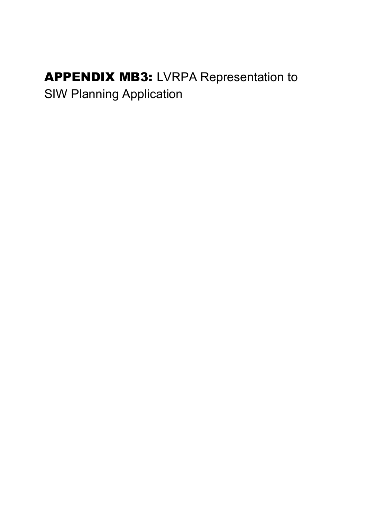## APPENDIX MB3: LVRPA Representation to SIW Planning Application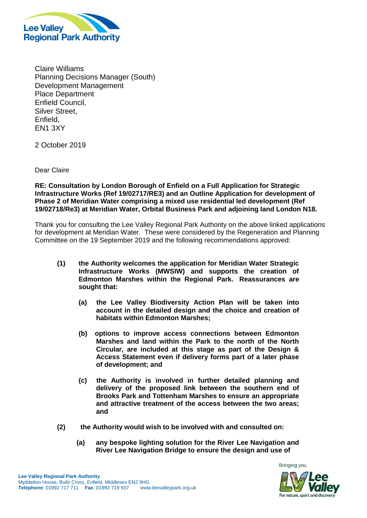

Claire Williams Planning Decisions Manager (South) Development Management Place Department Enfield Council, Silver Street, Enfield, EN1 3XY

2 October 2019

Dear Claire

**RE: Consultation by London Borough of Enfield on a Full Application for Strategic Infrastructure Works (Ref 19/02717/RE3) and an Outline Application for development of Phase 2 of Meridian Water comprising a mixed use residential led development (Ref 19/02718/Re3) at Meridian Water, Orbital Business Park and adjoining land London N18.**

Thank you for consulting the Lee Valley Regional Park Authority on the above linked applications for development at Meridian Water. These were considered by the Regeneration and Planning Committee on the 19 September 2019 and the following recommendations approved:

- **(1) the Authority welcomes the application for Meridian Water Strategic Infrastructure Works (MWSIW) and supports the creation of Edmonton Marshes within the Regional Park. Reassurances are sought that:**
	- **(a) the Lee Valley Biodiversity Action Plan will be taken into account in the detailed design and the choice and creation of habitats within Edmonton Marshes;**
	- **(b) options to improve access connections between Edmonton Marshes and land within the Park to the north of the North Circular, are included at this stage as part of the Design & Access Statement even if delivery forms part of a later phase of development; and**
	- **(c) the Authority is involved in further detailed planning and delivery of the proposed link between the southern end of Brooks Park and Tottenham Marshes to ensure an appropriate and attractive treatment of the access between the two areas; and**
- **(2) the Authority would wish to be involved with and consulted on:**
	- **(a) any bespoke lighting solution for the River Lee Navigation and River Lee Navigation Bridge to ensure the design and use of**